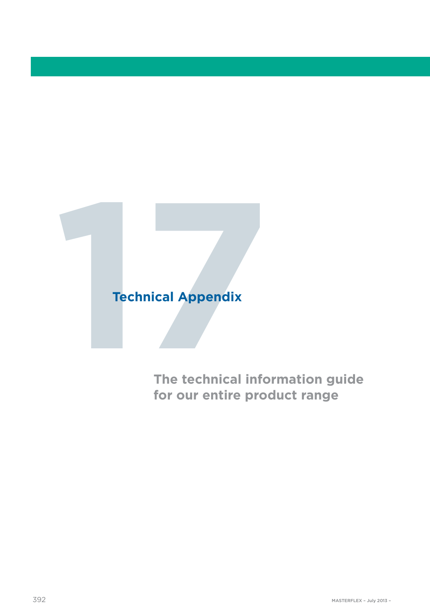# **17Technical Appendix<br>
17The technical info**

**The technical information guide for our entire product range**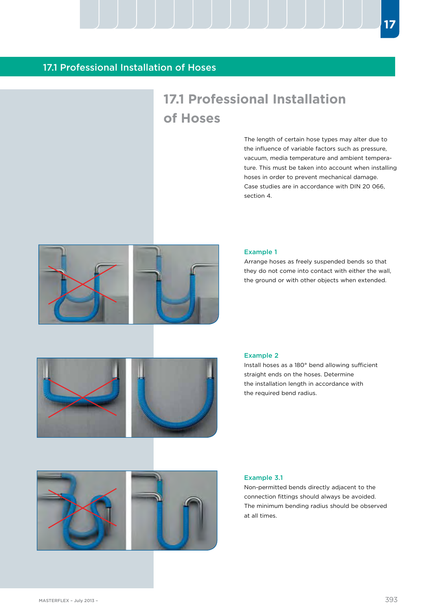### 17.1 Professional Installation of Hoses

# **17.1 Professional Installation of Hoses**

The length of certain hose types may alter due to the influence of variable factors such as pressure, vacuum, media temperature and ambient temperature. This must be taken into account when installing hoses in order to prevent mechanical damage. Case studies are in accordance with DIN 20 066, section 4.



#### Example 1

Arrange hoses as freely suspended bends so that they do not come into contact with either the wall, the ground or with other objects when extended.



#### Example 2

Install hoses as a 180° bend allowing sufficient straight ends on the hoses. Determine the installation length in accordance with the required bend radius.



#### Example 3.1

Non-permitted bends directly adjacent to the connection fittings should always be avoided. The minimum bending radius should be observed at all times.

**17**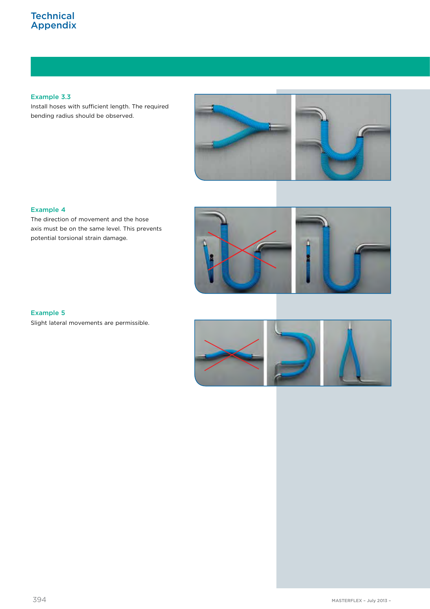## **Technical** Appendix

Example 3.3

Install hoses with sufficient length. The required bending radius should be observed.



#### Example 4

The direction of movement and the hose axis must be on the same level. This prevents potential torsional strain damage.



#### Example 5

Slight lateral movements are permissible.

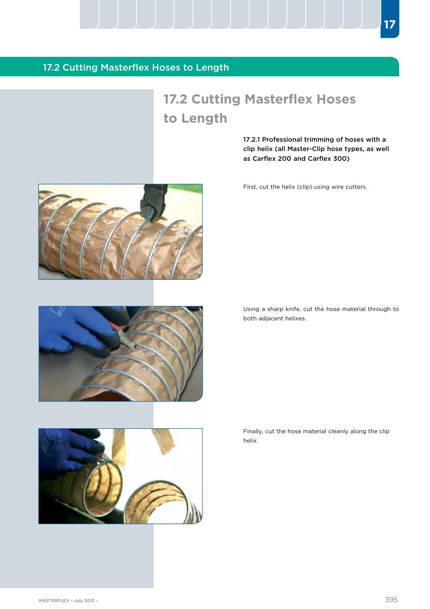# **17.2 Cutting Masterflex Hoses to Length**

17.2.1 Professional trimming of hoses with a clip helix (all Master-Clip hose types, as well as Carflex 200 and Carflex 300)

**17**

First, cut the helix (clip) using wire cutters.

Using a sharp knife, cut the hose material through to both adjacent helixes.

Finally, cut the hose material cleanly along the clip



helix.





17.2 Cutting Masterflex Hoses to Length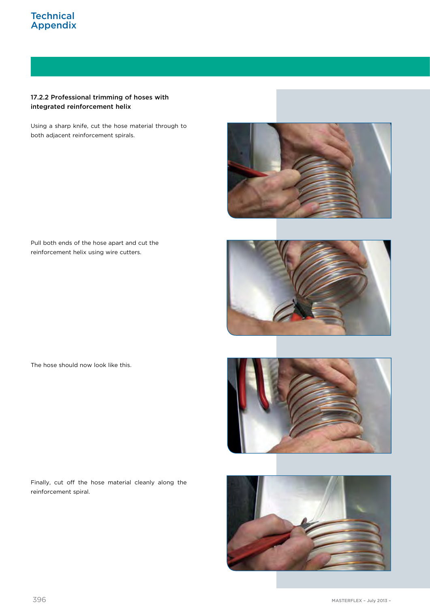## **Technical** Appendix

#### 17.2.2 Professional trimming of hoses with integrated reinforcement helix

Using a sharp knife, cut the hose material through to both adjacent reinforcement spirals.



Pull both ends of the hose apart and cut the reinforcement helix using wire cutters.



Finally, cut off the hose material cleanly along the reinforcement spiral.





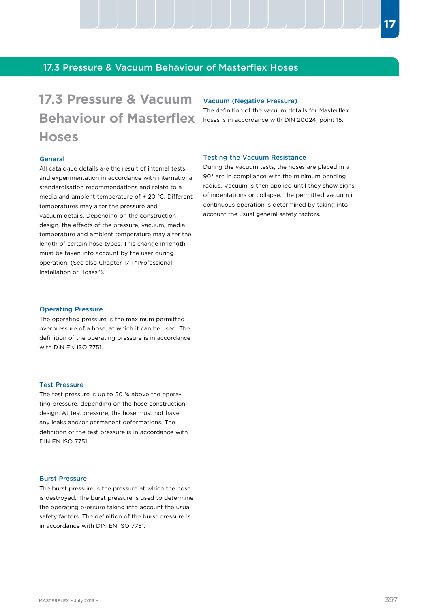## 17.3 Pressure & Vacuum Behaviour of Masterflex Hoses

# **17.3 Pressure & Vacuum**  Vacuum (Negative Pressure) **Behaviour of Masterflex Hoses**

The definition of the vacuum details for Masterflex hoses is in accordance with DIN 20024, point 15.

#### General

All catalogue details are the result of internal tests and experimentation in accordance with international standardisation recommendations and relate to a media and ambient temperature of + 20 ºC. Different temperatures may alter the pressure and vacuum details. Depending on the construction design, the effects of the pressure, vacuum, media temperature and ambient temperature may alter the length of certain hose types. This change in length must be taken into account by the user during operation. (See also Chapter 17.1 "Professional Installation of Hoses").

#### Operating Pressure

The operating pressure is the maximum permitted overpressure of a hose, at which it can be used. The definition of the operating pressure is in accordance with DIN EN ISO 7751.

#### Test Pressure

The test pressure is up to 50 % above the operating pressure, depending on the hose construction design. At test pressure, the hose must not have any leaks and/or permanent deformations. The definition of the test pressure is in accordance with DIN EN ISO 7751.

#### Burst Pressure

The burst pressure is the pressure at which the hose is destroyed. The burst pressure is used to determine the operating pressure taking into account the usual safety factors. The definition of the burst pressure is in accordance with DIN EN ISO 7751.

#### Testing the Vacuum Resistance

During the vacuum tests, the hoses are placed in a 90° arc in compliance with the minimum bending radius. Vacuum is then applied until they show signs of indentations or collapse. The permitted vacuum in continuous operation is determined by taking into account the usual general safety factors.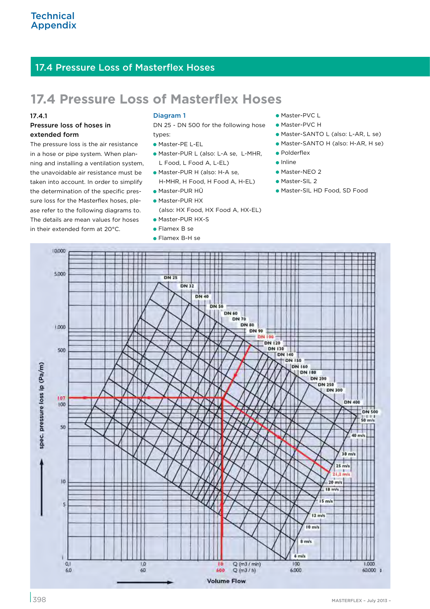# **17.4 Pressure Loss of Masterflex Hoses**

#### 17.4.1

#### Pressure loss of hoses in extended form

The pressure loss is the air resistance in a hose or pipe system. When planning and installing a ventilation system, the unavoidable air resistance must be taken into account. In order to simplify the determination of the specific pressure loss for the Masterflex hoses, please refer to the following diagrams to. The details are mean values for hoses in their extended form at 20°C.

#### Diagram 1

DN 25 - DN 500 for the following hose types:

- Master-PE L-EL
- Master-PUR L (also: L-A se, L-MHR, L Food, L Food A, L-EL)
- Master-PUR H (also: H-A se, H-MHR, H Food, H Food A, H-EL)
- Master-PUR HÜ
- Master-PUR HX (also: HX Food, HX Food A, HX-EL)
- Master-PUR HX-S
- **Flamex B se**
- Flamex B-H se
- Master-PVC L
- Master-PVC H
- Master-SANTO L (also: L-AR, L se)
- Master-SANTO H (also: H-AR, H se)
- Polderflex
- **•** Inline
- **Master-NEO 2**
- **Master-SIL 2**
- Master-SIL HD Food, SD Food

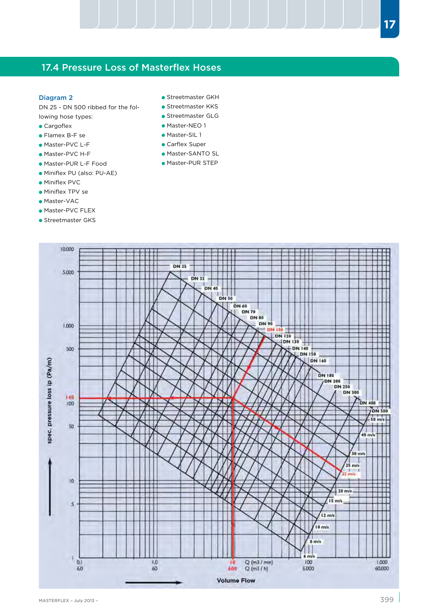#### Diagram 2

DN 25 - DN 500 ribbed for the following hose types:

- **Cargoflex**
- Flamex B-F se
- Master-PVC L-F
- Master-PVC H-F
- Master-PUR L-F Food
- Miniflex PU (also: PU-AE)
- Miniflex PVC
- Miniflex TPV se
- Master-VAC
- Master-PVC FLEX
- **Streetmaster GKS**
- **Streetmaster GKH**
- **Streetmaster KKS**
- Streetmaster GLG
- Master-NEO 1
- **Master-SIL 1**
- Carflex Super
- Master-SANTO SL
- Master-PUR STEP

10,000 **Filter 12 July 11** 医囊膜炎 **DN 25** l III 5,000 **DN 32 DN 40**  $\frac{1}{10}$ a. DN 60 **DN 70** DN 80 **DN 90** 1,000 **DN 100** DN 120 DN 130 500 **DN 150** DN 160 spec. pressure loss ip (Pa/m) **DN 180** DN 200 **DN 300** 140  $100$ DN 400 N 400  $\frac{250 \text{ m/s}}{1}$ 50 П  $40 \text{ m/s}$  $30$  m/s 25 m/s ÷. ٠ 10  $20 \text{ m/s}$ 15 mile  $\overline{\mathbf{s}}$ 12 m/s 10 m/s  $8 \text{ m/s}$  $6 \text{ m/s}$ I  $Q(m3/mn)$  $0,1$  $1,0$  $100$ 1,000  $\sqrt{2}$ 6,0 60 600  $Q(m3/h)$ 6.000 60,000 **Volume Flow**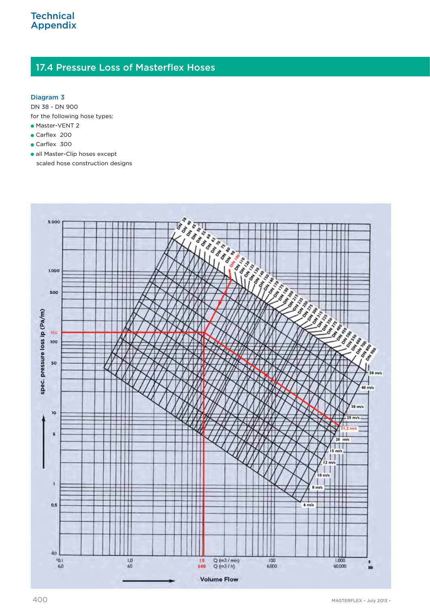#### Diagram 3

DN 38 - DN 900 for the following hose types:

- **Master-VENT 2**
- Carflex 200
- Carflex 300
- all Master-Clip hoses except scaled hose construction designs

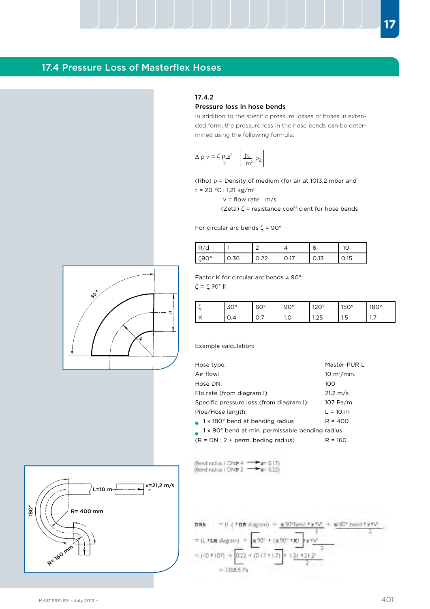#### 17.4.2

#### Pressure loss in hose bends

In addition to the specific pressure losses of hoses in extended form, the pressure loss in the hose bends can be determined using the following formula:

$$
\Delta p v = \zeta p v^2 \quad \boxed{\text{N}}_{m^2} \text{Pa}
$$

(Rho)  $\rho$  = Density of medium (for air at 1013,2 mbar and t = 20 °C : 1,21 kg/m<sup>3</sup>

 $v =$  flow rate  $m/s$ 

(Zeta)  $\zeta$  = resistance coefficient for hose bends

For circular arc bends  $\zeta = 90^\circ$ 

| ◡<br>$\cdots$ |     |        |   | ь      |       |
|---------------|-----|--------|---|--------|-------|
|               | ◡.◡ | $\sim$ | . | ں . اب | ◡. ।◡ |

Factor K for circular arc bends  $\neq 90^{\circ}$ :

 $\zeta = \zeta$  90° K

| $\overline{1}$ | ◡   | $60^{\circ}$<br>◡◡ | $90^{\circ}$<br>JV. | 1200<br>∼⊾       | 1000<br>-<br>◡ | $180^\circ$ |
|----------------|-----|--------------------|---------------------|------------------|----------------|-------------|
| $\overline{1}$ | v.4 | ◡.ノ                | ن ا                 | $\sim$<br>ں ے. ا | -<br>ں.ו       | $\cdots$    |

Example calculation:

| Hose type:                                                   | Master-PUR L       |
|--------------------------------------------------------------|--------------------|
| Air flow:                                                    | 10 $m^3/m$ in.     |
| Hose DN:                                                     | 100                |
| Flo rate (from diagram I):                                   | $21.2 \text{ m/s}$ |
| Specific pressure loss (from diagram I):                     | 107 Pa/m           |
| Pipe/Hose length:                                            | $L = 10 m$         |
| $\bullet$ 1 x 180 $^{\circ}$ bend at bending radius          | $R = 400$          |
| 1 x 90° bend at min. permissable bending radius<br>$\bullet$ |                    |
| $(R = DN : 2 + perm.$ beding radius)                         | $R = 160$          |

(Bend radius / DNP 4  $\rightarrow$  z= 0.17)<br>(Bend radius / DNP 2  $\rightarrow$  z= 0.22)





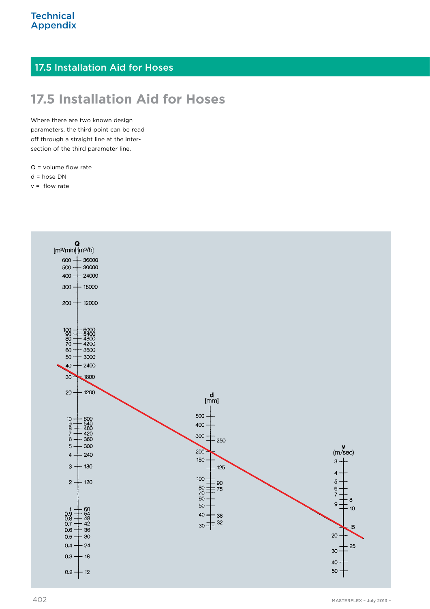# 17.5 Installation Aid for Hoses

# **17.5 Installation Aid for Hoses**

Where there are two known design parameters, the third point can be read off through a straight line at the intersection of the third parameter line.

 $Q =$  volume flow rate

d = hose DN

 $v =$  flow rate

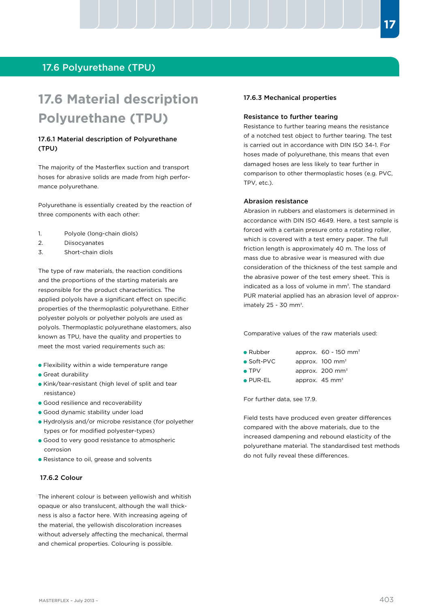## 17.6 Polyurethane (TPU)

# **17.6 Material description Polyurethane (TPU)**

#### 17.6.1 Material description of Polyurethane (TPU)

The majority of the Masterflex suction and transport hoses for abrasive solids are made from high performance polyurethane.

Polyurethane is essentially created by the reaction of three components with each other:

- 1. Polyole (long-chain diols)
- 2. Diisocyanates
- 3. Short-chain diols

The type of raw materials, the reaction conditions and the proportions of the starting materials are responsible for the product characteristics. The applied polyols have a significant effect on specific properties of the thermoplastic polyurethane. Either polyester polyols or polyether polyols are used as polyols. Thermoplastic polyurethane elastomers, also known as TPU, have the quality and properties to meet the most varied requirements such as:

- **•** Flexibility within a wide temperature range
- **Great durability**
- Kink/tear-resistant (high level of split and tear resistance)
- Good resilience and recoverability
- Good dynamic stability under load
- Hydrolysis and/or microbe resistance (for polyether types or for modified polyester-types)
- Good to very good resistance to atmospheric corrosion
- **Resistance to oil, grease and solvents**

#### 17.6.2 Colour

The inherent colour is between yellowish and whitish opaque or also translucent, although the wall thickness is also a factor here. With increasing ageing of the material, the yellowish discoloration increases without adversely affecting the mechanical, thermal and chemical properties. Colouring is possible.

#### 17.6.3 Mechanical properties

#### Resistance to further tearing

Resistance to further tearing means the resistance of a notched test object to further tearing. The test is carried out in accordance with DIN ISO 34-1. For hoses made of polyurethane, this means that even damaged hoses are less likely to tear further in comparison to other thermoplastic hoses (e.g. PVC, TPV, etc.).

#### Abrasion resistance

Abrasion in rubbers and elastomers is determined in accordance with DIN ISO 4649. Here, a test sample is forced with a certain presure onto a rotating roller, which is covered with a test emery paper. The full friction length is approximately 40 m. The loss of mass due to abrasive wear is measured with due consideration of the thickness of the test sample and the abrasive power of the test emery sheet. This is indicated as a loss of volume in mm<sup>3</sup>. The standard PUR material applied has an abrasion level of approximately  $25 - 30$  mm<sup>3</sup>.

Comparative values of the raw materials used:

- Rubber approx. 60 150 mm<sup>3</sup>
- Soft-PVC approx. 100 mm<sup>3</sup>
- TPV approx. 200 mm<sup>3</sup>
- PUR-EL approx. 45 mm<sup>3</sup>

For further data, see 17.9.

Field tests have produced even greater differences compared with the above materials, due to the increased dampening and rebound elasticity of the polyurethane material. The standardised test methods do not fully reveal these differences.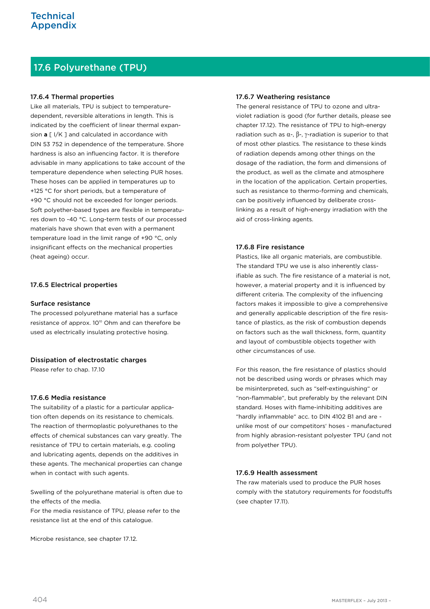# 17.6 Polyurethane (TPU)

#### 17.6.4 Thermal properties

Like all materials, TPU is subject to temperaturedependent, reversible alterations in length. This is indicated by the coefficient of linear thermal expansion **a** [ I/K ] and calculated in accordance with DIN 53 752 in dependence of the temperature. Shore hardness is also an influencing factor. It is therefore advisable in many applications to take account of the temperature dependence when selecting PUR hoses. These hoses can be applied in temperatures up to +125 °C for short periods, but a temperature of +90 °C should not be exceeded for longer periods. Soft polyether-based types are flexible in temperatures down to -40 °C. Long-term tests of our processed materials have shown that even with a permanent temperature load in the limit range of +90 °C, only insignificant effects on the mechanical properties (heat ageing) occur.

#### 17.6.5 Electrical properties

#### Surface resistance

The processed polyurethane material has a surface resistance of approx. 10<sup>10</sup> Ohm and can therefore be used as electrically insulating protective hosing.

#### Dissipation of electrostatic charges

Please refer to chap. 17.10

#### 17.6.6 Media resistance

The suitability of a plastic for a particular application often depends on its resistance to chemicals. The reaction of thermoplastic polyurethanes to the effects of chemical substances can vary greatly. The resistance of TPU to certain materials, e.g. cooling and lubricating agents, depends on the additives in these agents. The mechanical properties can change when in contact with such agents.

Swelling of the polyurethane material is often due to the effects of the media.

For the media resistance of TPU, please refer to the resistance list at the end of this catalogue.

Microbe resistance, see chapter 17.12.

#### 17.6.7 Weathering resistance

The general resistance of TPU to ozone and ultraviolet radiation is good (for further details, please see chapter 17.12). The resistance of TPU to high-energy radiation such as  $\alpha$ -,  $\beta$ -,  $\gamma$ -radiation is superior to that of most other plastics. The resistance to these kinds of radiation depends among other things on the dosage of the radiation, the form and dimensions of the product, as well as the climate and atmosphere in the location of the application. Certain properties, such as resistance to thermo-forming and chemicals, can be positively influenced by deliberate crosslinking as a result of high-energy irradiation with the aid of cross-linking agents.

#### 17.6.8 Fire resistance

Plastics, like all organic materials, are combustible. The standard TPU we use is also inherently classifiable as such. The fire resistance of a material is not, however, a material property and it is influenced by different criteria. The complexity of the influencing factors makes it impossible to give a comprehensive and generally applicable description of the fire resistance of plastics, as the risk of combustion depends on factors such as the wall thickness, form, quantity and layout of combustible objects together with other circumstances of use.

For this reason, the fire resistance of plastics should not be described using words or phrases which may be misinterpreted, such as "self-extinguishing" or "non-flammable", but preferably by the relevant DIN standard. Hoses with flame-inhibiting additives are "hardly inflammable" acc. to DIN 4102 B1 and are unlike most of our competitors' hoses - manufactured from highly abrasion-resistant polyester TPU (and not from polyether TPU).

#### 17.6.9 Health assessment

The raw materials used to produce the PUR hoses comply with the statutory requirements for foodstuffs (see chapter 17.11).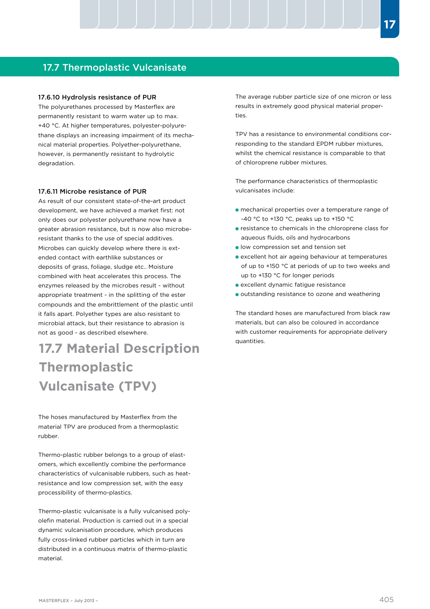## 17.7 Thermoplastic Vulcanisate

#### 17.6.10 Hydrolysis resistance of PUR

The polyurethanes processed by Masterflex are permanently resistant to warm water up to max. +40 °C. At higher temperatures, polyester-polyurethane displays an increasing impairment of its mechanical material properties. Polyether-polyurethane, however, is permanently resistant to hydrolytic degradation.

#### 17.6.11 Microbe resistance of PUR

As result of our consistent state-of-the-art product development, we have achieved a market first: not only does our polyester polyurethane now have a greater abrasion resistance, but is now also microberesistant thanks to the use of special additives. Microbes can quickly develop where there is extended contact with earthlike substances or deposits of grass, foliage, sludge etc.. Moisture combined with heat accelerates this process. The enzymes released by the microbes result - without appropriate treatment - in the splitting of the ester compounds and the embrittlement of the plastic until it falls apart. Polyether types are also resistant to microbial attack, but their resistance to abrasion is not as good - as described elsewhere.

# **17.7 Material Description Thermoplastic Vulcanisate (TPV)**

The hoses manufactured by Masterflex from the material TPV are produced from a thermoplastic rubber.

Thermo-plastic rubber belongs to a group of elastomers, which excellently combine the performance characteristics of vulcanisable rubbers, such as heatresistance and low compression set, with the easy processibility of thermo-plastics.

Thermo-plastic vulcanisate is a fully vulcanised polyolefin material. Production is carried out in a special dynamic vulcanisation procedure, which produces fully cross-linked rubber particles which in turn are distributed in a continuous matrix of thermo-plastic material.

The average rubber particle size of one micron or less results in extremely good physical material properties.

TPV has a resistance to environmental conditions corresponding to the standard EPDM rubber mixtures, whilst the chemical resistance is comparable to that of chloroprene rubber mixtures.

The performance characteristics of thermoplastic vulcanisates include:

- mechanical properties over a temperature range of -40 °C to +130 °C, peaks up to +150 °C
- resistance to chemicals in the chloroprene class for aqueous fluids, oils and hydrocarbons
- **I** low compression set and tension set
- excellent hot air ageing behaviour at temperatures of up to +150 °C at periods of up to two weeks and up to +130 °C for longer periods
- excellent dynamic fatigue resistance
- outstanding resistance to ozone and weathering

The standard hoses are manufactured from black raw materials, but can also be coloured in accordance with customer requirements for appropriate delivery quantities.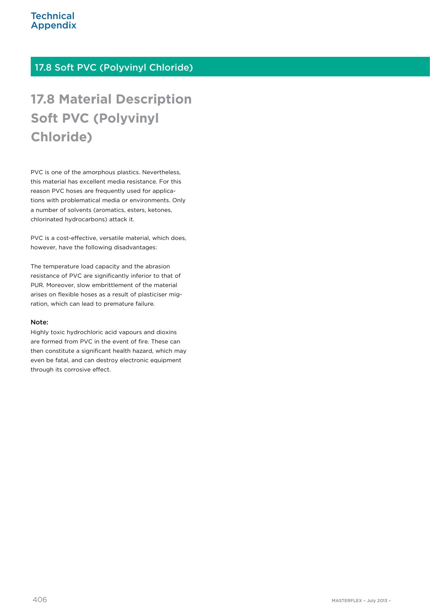## 17.8 Soft PVC (Polyvinyl Chloride)

# **17.8 Material Description Soft PVC (Polyvinyl Chloride)**

PVC is one of the amorphous plastics. Nevertheless, this material has excellent media resistance. For this reason PVC hoses are frequently used for applications with problematical media or environments. Only a number of solvents (aromatics, esters, ketones, chlorinated hydrocarbons) attack it.

PVC is a cost-effective, versatile material, which does, however, have the following disadvantages:

The temperature load capacity and the abrasion resistance of PVC are significantly inferior to that of PUR. Moreover, slow embrittlement of the material arises on flexible hoses as a result of plasticiser migration, which can lead to premature failure.

#### Note:

Highly toxic hydrochloric acid vapours and dioxins are formed from PVC in the event of fire. These can then constitute a significant health hazard, which may even be fatal, and can destroy electronic equipment through its corrosive effect.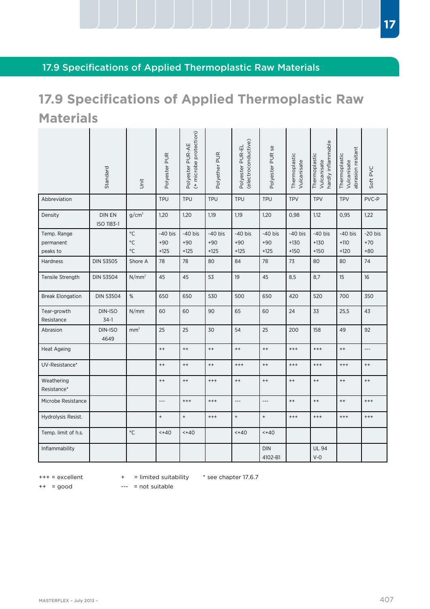# 17.9 Specifications of Applied Thermoplastic Raw Materials

# **17.9 Specifications of Applied Thermoplastic Raw Materials**

|                                      | Standard             | jin                                            | Polyester PUR                | (+ microbe protection)<br>Polyester PUR-AE | Polyether PUR                | (electroconductive)<br>Polyester PUR-EL | Polyester PUR se             | Thermoplastic<br>Vulcanisate  | hardly inflammable<br>Thermoplastic<br>Vulcanisate | abrasion resitant<br>Thermoplastic<br>Vulcanisate | Soft PVC                    |
|--------------------------------------|----------------------|------------------------------------------------|------------------------------|--------------------------------------------|------------------------------|-----------------------------------------|------------------------------|-------------------------------|----------------------------------------------------|---------------------------------------------------|-----------------------------|
| Abbreviation                         |                      |                                                | <b>TPU</b>                   | <b>TPU</b>                                 | <b>TPU</b>                   | <b>TPU</b>                              | <b>TPU</b>                   | <b>TPV</b>                    | <b>TPV</b>                                         | <b>TPV</b>                                        | PVC-P                       |
| Density                              | DIN EN<br>ISO 1183-1 | $g/cm^3$                                       | 1,20                         | 1,20                                       | 1,19                         | 1,19                                    | 1,20                         | 0,98                          | 1,12                                               | 0,95                                              | 1,22                        |
| Temp. Range<br>permanent<br>peaks to |                      | $^{\circ}{\rm C}$<br>$\circ$ C<br>$^{\circ}$ C | $-40$ bis<br>$+90$<br>$+125$ | $-40$ bis<br>$+90$<br>$+125$               | $-40$ bis<br>$+90$<br>$+125$ | $-40$ bis<br>$+90$<br>$+125$            | $-40$ bis<br>$+90$<br>$+125$ | $-40$ bis<br>$+130$<br>$+150$ | $-40$ bis<br>$+130$<br>$+150$                      | $-40$ bis<br>$+110$<br>$+120$                     | $-20$ bis<br>$+70$<br>$+80$ |
| Hardness                             | <b>DIN 53505</b>     | Shore A                                        | 78                           | 78                                         | 80                           | 84                                      | 78                           | 73                            | 80                                                 | 80                                                | 74                          |
| Tensile Strength                     | <b>DIN 53504</b>     | $N/mm^2$                                       | 45                           | 45                                         | 53                           | 19                                      | 45                           | 8,5                           | 8,7                                                | 15                                                | 16                          |
| <b>Break Elongation</b>              | <b>DIN 53504</b>     | $\%$                                           | 650                          | 650                                        | 530                          | 500                                     | 650                          | 420                           | 520                                                | 700                                               | 350                         |
| Tear-growth<br>Resistance            | DIN-ISO<br>$34-1$    | N/mm                                           | 60                           | 60                                         | 90                           | 65                                      | 60                           | 24                            | 33                                                 | 25,5                                              | 43                          |
| Abrasion                             | DIN-ISO<br>4649      | mm <sup>3</sup>                                | 25                           | 25                                         | 30                           | 54                                      | 25                           | 200                           | 158                                                | 49                                                | 92                          |
| Heat Ageing                          |                      |                                                | $^{++}$                      | $^{++}$                                    | $^{++}$                      | $^{++}$                                 | $^{++}$                      | $^{+++}$                      | $^{+++}$                                           | $^{++}$                                           | $\overline{a}$              |
| UV-Resistance*                       |                      |                                                | $^{++}$                      | $^{++}$                                    | $^{++}$                      | $^{+++}$                                | $^{++}$                      | $^{+++}$                      | $^{+++}$                                           | $^{++}$                                           | $^{++}$                     |
| Weathering<br>Resistance*            |                      |                                                | $^{++}$                      | $^{++}$                                    | $^{++}$                      | $^{++}$                                 | $^{++}$                      | $^{++}$                       | $^{++}$                                            | $^{++}$                                           | $^{++}$                     |
| Microbe Resistance                   |                      |                                                | ---                          | $^{+++}$                                   | $^{++}$                      | $---$                                   | $---$                        | $^{++}$                       | $^{++}$                                            | $^{++}$                                           | $^{+++}$                    |
| Hydrolysis Resist.                   |                      |                                                | $^{\mathrm{+}}$              | $\ddot{}$                                  | $^{+++}$                     | $\qquad \qquad +$                       | $\, +$                       | $^{+++}$                      | $^{+++}$                                           | $^{+++}$                                          | $^{+++}$                    |
| Temp. limit of h.s.                  |                      | $\circ$ C                                      | 440                          | 440                                        |                              | 440                                     | 440                          |                               |                                                    |                                                   |                             |
| Inflammability                       |                      |                                                |                              |                                            |                              |                                         | <b>DIN</b><br>4102-B1        |                               | <b>UL 94</b><br>$V - O$                            |                                                   |                             |

+++ = excellent

+ = limited suitability \* see chapter 17.6.7

++ = good

--- = not suitable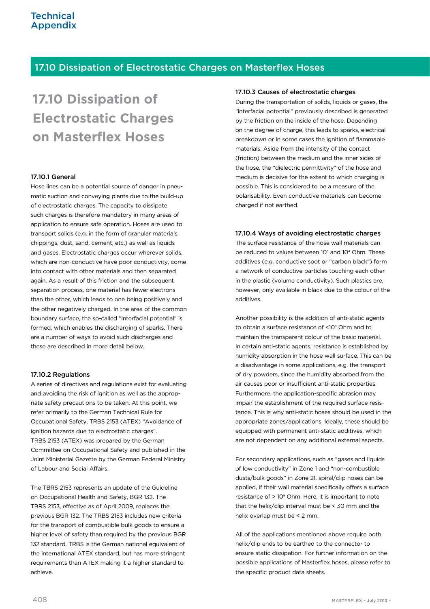## 17.10 Dissipation of Electrostatic Charges on Masterflex Hoses

# **17.10 Dissipation of Electrostatic Charges on Masterflex Hoses**

#### 17.10.1 General

Hose lines can be a potential source of danger in pneumatic suction and conveying plants due to the build-up of electrostatic charges. The capacity to dissipate such charges is therefore mandatory in many areas of application to ensure safe operation. Hoses are used to transport solids (e.g. in the form of granular materials, chippings, dust, sand, cement, etc.) as well as liquids and gases. Electrostatic charges occur wherever solids, which are non-conductive have poor conductivity, come into contact with other materials and then separated again. As a result of this friction and the subsequent separation process, one material has fewer electrons than the other, which leads to one being positively and the other negatively charged. In the area of the common boundary surface, the so-called "interfacial potential" is formed, which enables the discharging of sparks. There are a number of ways to avoid such discharges and these are described in more detail below.

#### 17.10.2 Regulations

A series of directives and regulations exist for evaluating and avoiding the risk of ignition as well as the appropriate safety precautions to be taken. At this point, we refer primarily to the German Technical Rule for Occupational Safety, TRBS 2153 (ATEX) "Avoidance of ignition hazards due to electrostatic charges". TRBS 2153 (ATEX) was prepared by the German Committee on Occupational Safety and published in the Joint Ministerial Gazette by the German Federal Ministry of Labour and Social Affairs.

The TBRS 2153 represents an update of the Guideline on Occupational Health and Safety, BGR 132. The TBRS 2153, effective as of April 2009, replaces the previous BGR 132. The TRBS 2153 includes new criteria for the transport of combustible bulk goods to ensure a higher level of safety than required by the previous BGR 132 standard. TRBS is the German national equivalent of the international ATEX standard, but has more stringent requirements than ATEX making it a higher standard to achieve.

#### 17.10.3 Causes of electrostatic charges

During the transportation of solids, liquids or gases, the "interfacial potential" previously described is generated by the friction on the inside of the hose. Depending on the degree of charge, this leads to sparks, electrical breakdown or in some cases the ignition of flammable materials. Aside from the intensity of the contact (friction) between the medium and the inner sides of the hose, the "dielectric permittivity" of the hose and medium is decisive for the extent to which charging is possible. This is considered to be a measure of the polarisability. Even conductive materials can become charged if not earthed.

#### 17.10.4 Ways of avoiding electrostatic charges

The surface resistance of the hose wall materials can be reduced to values between  $10<sup>3</sup>$  and  $10<sup>4</sup>$  Ohm. These additives (e.g. conductive soot or "carbon black") form a network of conductive particles touching each other in the plastic (volume conductivity). Such plastics are, however, only available in black due to the colour of the additives.

Another possibility is the addition of anti-static agents to obtain a surface resistance of <10<sup>9</sup> Ohm and to maintain the transparent colour of the basic material. In certain anti-static agents, resistance is established by humidity absorption in the hose wall surface. This can be a disadvantage in some applications, e.g. the transport of dry powders, since the humidity absorbed from the air causes poor or insufficient anti-static properties. Furthermore, the application-specific abrasion may impair the establishment of the required surface resistance. This is why anti-static hoses should be used in the appropriate zones/applications. Ideally, these should be equipped with permanent anti-static additives, which are not dependent on any additional external aspects.

For secondary applications, such as "gases and liquids of low conductivity" in Zone 1 and "non-combustible dusts/bulk goods" in Zone 21, spiral/clip hoses can be applied, if their wall material specifically offers a surface resistance of  $> 10^9$  Ohm. Here, it is important to note that the helix/clip interval must be < 30 mm and the helix overlap must be < 2 mm.

All of the applications mentioned above require both helix/clip ends to be earthed to the connector to ensure static dissipation. For further information on the possible applications of Masterflex hoses, please refer to the specific product data sheets.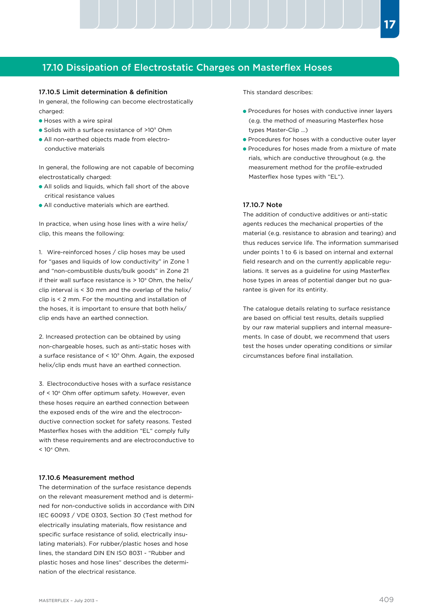## 17.10 Dissipation of Electrostatic Charges on Masterflex Hoses

#### 17.10.5 Limit determination & definition

In general, the following can become electrostatically charged:

- Hoses with a wire spiral
- Solids with a surface resistance of >10<sup>9</sup> Ohm
- All non-earthed objects made from electro conductive materials

In general, the following are not capable of becoming electrostatically charged:

- All solids and liquids, which fall short of the above critical resistance values
- All conductive materials which are earthed.

In practice, when using hose lines with a wire helix/ clip, this means the following:

1. Wire-reinforced hoses / clip hoses may be used for "gases and liquids of low conductivity" in Zone 1 and "non-combustible dusts/bulk goods" in Zone 21 if their wall surface resistance is > 10<sup>9</sup> Ohm, the helix/ clip interval is < 30 mm and the overlap of the helix/ clip is < 2 mm. For the mounting and installation of the hoses, it is important to ensure that both helix/ clip ends have an earthed connection.

2. Increased protection can be obtained by using non-chargeable hoses, such as anti-static hoses with a surface resistance of < 10<sup>9</sup> Ohm. Again, the exposed helix/clip ends must have an earthed connection.

3. Electroconductive hoses with a surface resistance of < 10<sup>6</sup> Ohm offer optimum safety. However, even these hoses require an earthed connection between the exposed ends of the wire and the electroconductive connection socket for safety reasons. Tested Masterflex hoses with the addition "EL" comply fully with these requirements and are electroconductive to  $< 10<sup>4</sup>$  Ohm.

#### 17.10.6 Measurement method

The determination of the surface resistance depends on the relevant measurement method and is determined for non-conductive solids in accordance with DIN IEC 60093 / VDE 0303, Section 30 (Test method for electrically insulating materials, flow resistance and specific surface resistance of solid, electrically insulating materials). For rubber/plastic hoses and hose lines, the standard DIN EN ISO 8031 - "Rubber and plastic hoses and hose lines" describes the determination of the electrical resistance.

This standard describes:

- **Procedures for hoses with conductive inner layers**  (e.g. the method of measuring Masterflex hose types Master-Clip ...)
- **Procedures for hoses with a conductive outer layer**
- **Procedures for hoses made from a mixture of mate**  rials, which are conductive throughout (e.g. the measurement method for the profile-extruded Masterflex hose types with "EL").

#### 17.10.7 Note

The addition of conductive additives or anti-static agents reduces the mechanical properties of the material (e.g. resistance to abrasion and tearing) and thus reduces service life. The information summarised under points 1 to 6 is based on internal and external field research and on the currently applicable regulations. It serves as a guideline for using Masterflex hose types in areas of potential danger but no guarantee is given for its entirity.

The catalogue details relating to surface resistance are based on official test results, details supplied by our raw material suppliers and internal measurements. In case of doubt, we recommend that users test the hoses under operating conditions or similar circumstances before final installation.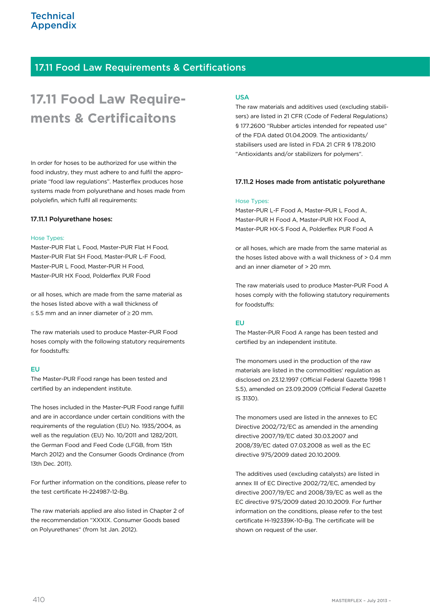## 17.11 Food Law Requirements & Certifications

# **17.11 Food Law Requirements & Certificaitons**

In order for hoses to be authorized for use within the food industry, they must adhere to and fulfil the appropriate "food law regulations". Masterflex produces hose systems made from polyurethane and hoses made from polyolefin, which fulfil all requirements:

#### 17.11.1 Polyurethane hoses:

#### Hose Types:

Master-PUR Flat L Food, Master-PUR Flat H Food, Master-PUR Flat SH Food, Master-PUR L-F Food, Master-PUR L Food, Master-PUR H Food, Master-PUR HX Food, Polderflex PUR Food

or all hoses, which are made from the same material as the hoses listed above with a wall thickness of ≤ 5.5 mm and an inner diameter of ≥ 20 mm.

The raw materials used to produce Master-PUR Food hoses comply with the following statutory requirements for foodstuffs:

#### EU

The Master-PUR Food range has been tested and certified by an independent institute.

The hoses included in the Master-PUR Food range fulfill and are in accordance under certain conditions with the requirements of the regulation (EU) No. 1935/2004, as well as the regulation (EU) No. 10/2011 and 1282/2011, the German Food and Feed Code (LFGB, from 15th March 2012) and the Consumer Goods Ordinance (from 13th Dec. 2011).

For further information on the conditions, please refer to the test certificate H-224987-12-Bg.

The raw materials applied are also listed in Chapter 2 of the recommendation "XXXIX. Consumer Goods based on Polyurethanes" (from 1st Jan. 2012).

#### USA

The raw materials and additives used (excluding stabilisers) are listed in 21 CFR (Code of Federal Regulations) § 177.2600 "Rubber articles intended for repeated use" of the FDA dated 01.04.2009. The antioxidants/ stabilisers used are listed in FDA 21 CFR § 178.2010 "Antioxidants and/or stabilizers for polymers".

#### 17.11.2 Hoses made from antistatic polyurethane

#### Hose Types:

Master-PUR L-F Food A, Master-PUR L Food A, Master-PUR H Food A, Master-PUR HX Food A, Master-PUR HX-S Food A, Polderflex PUR Food A

or all hoses, which are made from the same material as the hoses listed above with a wall thickness of > 0.4 mm and an inner diameter of > 20 mm.

The raw materials used to produce Master-PUR Food A hoses comply with the following statutory requirements for foodstuffs:

#### EU

The Master-PUR Food A range has been tested and certified by an independent institute.

The monomers used in the production of the raw materials are listed in the commodities' regulation as disclosed on 23.12.1997 (Official Federal Gazette 1998 1 S.5), amended on 23.09.2009 (Official Federal Gazette IS 3130).

The monomers used are listed in the annexes to EC Directive 2002/72/EC as amended in the amending directive 2007/19/EC dated 30.03.2007 and 2008/39/EC dated 07.03.2008 as well as the EC directive 975/2009 dated 20.10.2009.

The additives used (excluding catalysts) are listed in annex III of EC Directive 2002/72/EC, amended by directive 2007/19/EC and 2008/39/EC as well as the EC directive 975/2009 dated 20.10.2009. For further information on the conditions, please refer to the test certificate H-192339K-10-Bg. The certificate will be shown on request of the user.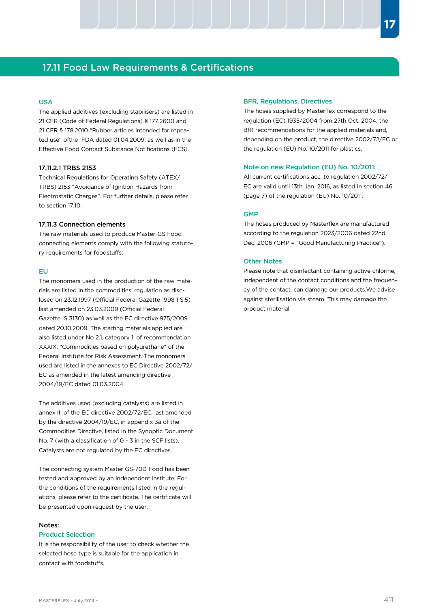## 17.11 Food Law Requirements & Certifications

#### USA

The applied additives (excluding stabilisers) are listed in 21 CFR (Code of Federal Regulations) § 177.2600 and 21 CFR § 178.2010 "Rubber articles intended for repeated use" ofthe FDA dated 01.04.2009, as well as in the Effective Food Contact Substance Notifications (FCS).

#### 17.11.2.1 TRBS 2153

Technical Regulations for Operating Safety (ATEX/ TRBS) 2153 "Avoidance of Ignition Hazards from Electrostatic Charges". For further details, please refer to section 17.10.

#### 17.11.3 Connection elements

The raw materials used to produce Master-GS Food connecting elements comply with the following statutory requirements for foodstuffs:

#### EU

The monomers used in the production of the raw materials are listed in the commodities' regulation as disclosed on 23.12.1997 (Official Federal Gazette 1998 1 S.5), last amended on 23.03.2009 (Official Federal Gazette IS 3130) as well as the EC directive 975/2009 dated 20.10.2009. The starting materials applied are also listed under No 2.1, category 1, of recommendation XXXIX, "Commodities based on polyurethane" of the Federal Institute for Risk Assessment. The monomers used are listed in the annexes to EC Directive 2002/72/ EC as amended in the latest amending directive 2004/19/EC dated 01.03.2004.

The additives used (excluding catalysts) are listed in annex III of the EC directive 2002/72/EC, last amended by the directive 2004/19/EC, in appendix 3a of the Commodities Directive, listed in the Synoptic Document No. 7 (with a classification of 0 - 3 in the SCF lists). Catalysts are not regulated by the EC directives.

The connecting system Master GS-70D Food has been tested and approved by an independent institute. For the conditions of the requirements listed in the requlations, please refer to the certificate. The certificate will be presented upon request by the user.

#### Notes:

#### Product Selection

It is the responsibility of the user to check whether the selected hose type is suitable for the application in contact with foodstuffs.

#### BFR, Regulations, Directives

The hoses supplied by Masterflex correspond to the regulation (EC) 1935/2004 from 27th Oct. 2004, the BfR recommendations for the applied materials and, depending on the product, the directive 2002/72/EC or the regulation (EU) No. 10/2011 for plastics.

#### Note on new Regulation (EU) No. 10/2011:

All current certifications acc. to regulation 2002/72/ EC are valid until 13th Jan. 2016, as listed in section 46 (page 7) of the regulation (EU) No. 10/2011.

#### GMP

The hoses produced by Masterflex are manufactured according to the regulation 2023/2006 dated 22nd Dec. 2006 (GMP = "Good Manufacturing Practice").

#### Other Notes

Please note that disinfectant containing active chlorine, independent of the contact conditions and the frequency of the contact, can damage our products.We advise against sterilisation via steam. This may damage the product material.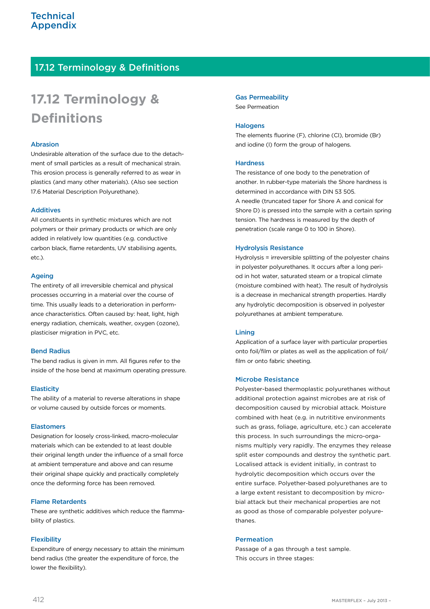# 17.12 Terminology & Definitions

# **17.12 Terminology & Definitions**

#### Abrasion

Undesirable alteration of the surface due to the detachment of small particles as a result of mechanical strain. This erosion process is generally referred to as wear in plastics (and many other materials). (Also see section 17.6 Material Description Polyurethane).

#### **Additives**

All constituents in synthetic mixtures which are not polymers or their primary products or which are only added in relatively low quantities (e.g. conductive carbon black, flame retardents, UV stabilising agents, etc.).

#### Ageing

The entirety of all irreversible chemical and physical processes occurring in a material over the course of time. This usually leads to a deterioration in performance characteristics. Often caused by: heat, light, high energy radiation, chemicals, weather, oxygen (ozone), plasticiser migration in PVC, etc.

#### Bend Radius

The bend radius is given in mm. All figures refer to the inside of the hose bend at maximum operating pressure.

#### **Elasticity**

The ability of a material to reverse alterations in shape or volume caused by outside forces or moments.

#### Elastomers

Designation for loosely cross-linked, macro-molecular materials which can be extended to at least double their original length under the influence of a small force at ambient temperature and above and can resume their original shape quickly and practically completely once the deforming force has been removed.

#### Flame Retardents

These are synthetic additives which reduce the flammability of plastics.

#### **Flexibility**

Expenditure of energy necessary to attain the minimum bend radius (the greater the expenditure of force, the lower the flexibility).

Gas Permeability See Permeation

#### **Halogens**

The elements fluorine (F), chlorine (CI), bromide (Br) and iodine (I) form the group of halogens.

#### **Hardness**

The resistance of one body to the penetration of another. In rubber-type materials the Shore hardness is determined in accordance with DIN 53 505. A needle (truncated taper for Shore A and conical for Shore D) is pressed into the sample with a certain spring tension. The hardness is measured by the depth of penetration (scale range 0 to 100 in Shore).

#### Hydrolysis Resistance

Hydrolysis = irreversible splitting of the polyester chains in polyester polyurethanes. It occurs after a long period in hot water, saturated steam or a tropical climate (moisture combined with heat). The result of hydrolysis is a decrease in mechanical strength properties. Hardly any hydrolytic decomposition is observed in polyester polyurethanes at ambient temperature.

#### Lining

Application of a surface layer with particular properties onto foil/film or plates as well as the application of foil/ film or onto fabric sheeting.

#### Microbe Resistance

Polyester-based thermoplastic polyurethanes without additional protection against microbes are at risk of decomposition caused by microbial attack. Moisture combined with heat (e.g. in nutrititive environments such as grass, foliage, agriculture, etc.) can accelerate this process. In such surroundings the micro-organisms multiply very rapidly. The enzymes they release split ester compounds and destroy the synthetic part. Localised attack is evident initially, in contrast to hydrolytic decomposition which occurs over the entire surface. Polyether-based polyurethanes are to a large extent resistant to decomposition by microbial attack but their mechanical properties are not as good as those of comparable polyester polyurethanes.

#### Permeation

Passage of a gas through a test sample. This occurs in three stages: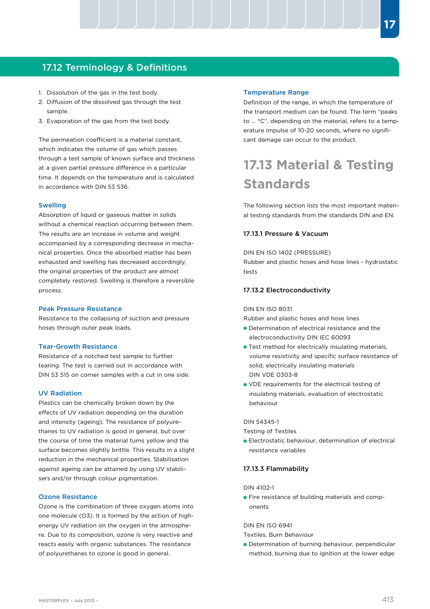## 17.12 Terminology & Definitions

- 1. Dissolution of the gas in the test body.
- 2. Diffusion of the dissolved gas through the test sample.
- 3. Evaporation of the gas from the test body.

The permeation coefficient is a material constant, which indicates the volume of gas which passes through a test sample of known surface and thickness at a given partial pressure difference in a particular time. It depends on the temperature and is calculated in accordance with DIN 53 536.

#### Swelling

Absorption of liquid or gaseous matter in solids without a chemical reaction occurring between them. The results are an increase in volume and weight accompanied by a corresponding decrease in mechanical properties. Once the absorbed matter has been exhausted and swelling has decreased accordingly, the original properties of the product are almost completely restored. Swelling is therefore a reversible process.

#### Peak Pressure Resistance

Resistance to the collapsing of suction and pressure hoses through outer peak loads.

#### Tear-Growth Resistance

Resistance of a notched test sample to further tearing. The test is carried out in accordance with DIN 53 515 on corner samples with a cut in one side.

#### UV Radiation

Plastics can be chemically broken down by the effects of UV radiation depending on the duration and intensity (ageing). The resistance of polyurethanes to UV radiation is good in general, but over the course of time the material turns yellow and the surface becomes slightly brittle. This results in a slight reduction in the mechanical properties. Stabilisation against ageing can be attained by using UV stabilisers and/or through colour pigmentation.

#### Ozone Resistance

Ozone is the combination of three oxygen atoms into one molecule (O3). It is formed by the action of highenergy UV radiation on the oxygen in the atmosphere. Due to its composition, ozone is very reactive and reacts easily with organic substances. The resistance of polyurethanes to ozone is good in general.

#### Temperature Range

Definition of the range, in which the temperature of the transport medium can be found. The term "peaks to ... °C", depending on the material, refers to a temperature impulse of 10-20 seconds, where no significant damage can occur to the product.

# **17.13 Material & Testing Standards**

The following section lists the most important material testing standards from the standards DIN and EN:

#### 17.13.1 Pressure & Vacuum

DIN EN ISO 1402 (PRESSURE) Rubber and plastic hoses and hose lines - hydrostatic tests

#### 17.13.2 Electroconductivity

#### DIN EN ISO 8031

Rubber and plastic hoses and hose lines

- Determination of electrical resistance and the electroconductivity DIN IEC 60093
- **Test method for electrically insulating materials.**  volume resistivity and specific surface resistance of solid, electrically insulating materials DIN VDE 0303-8
- VDE requirements for the electrical testing of insulating materials, evaluation of electrostatic behaviour

#### DIN 54345-1

Testing of Textiles

Electrostatic behaviour, determination of electrical resistance variables

#### 17.13.3 Flammability

#### DIN 4102-1

**•** Fire resistance of building materials and components

DIN EN ISO 6941

Textiles, Burn Behaviour

Determination of burning behaviour, perpendicular method, burning due to ignition at the lower edge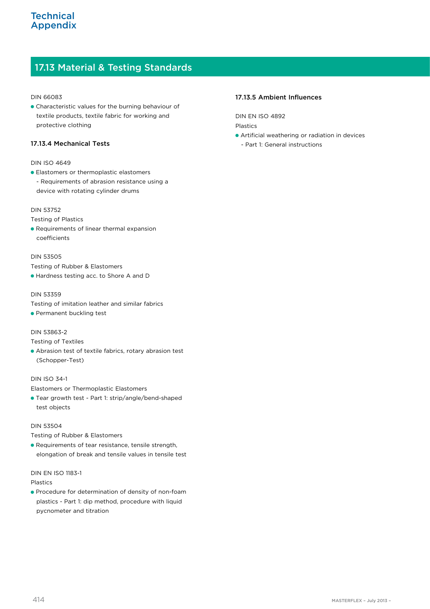# 17.13 Material & Testing Standards

#### DIN 66083

Characteristic values for the burning behaviour of textile products, textile fabric for working and protective clothing

#### 17.13.4 Mechanical Tests

#### DIN ISO 4649

Elastomers or thermoplastic elastomers - Requirements of abrasion resistance using a device with rotating cylinder drums

#### DIN 53752

Testing of Plastics

Requirements of linear thermal expansion coefficients

#### DIN 53505

Testing of Rubber & Elastomers

Hardness testing acc. to Shore A and D

#### DIN 53359

- Testing of imitation leather and similar fabrics
- **Permanent buckling test**

#### DIN 53863-2

Testing of Textiles

Abrasion test of textile fabrics, rotary abrasion test (Schopper-Test)

#### DIN ISO 34-1

Elastomers or Thermoplastic Elastomers

Tear growth test - Part 1: strip/angle/bend-shaped test objects

#### DIN 53504

Testing of Rubber & Elastomers

**• Requirements of tear resistance, tensile strength,** elongation of break and tensile values in tensile test

#### DIN EN ISO 1183-1

#### Plastics

Procedure for determination of density of non-foam plastics - Part 1: dip method, procedure with liquid pycnometer and titration

#### 17.13.5 Ambient Influences

DIN EN ISO 4892 Plastics

- Artificial weathering or radiation in devices
	- Part 1: General instructions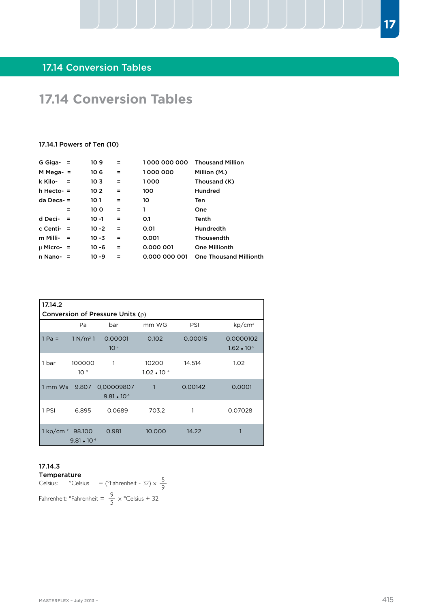# **17.14 Conversion Tables**

#### 17.14.1 Powers of Ten (10)

| G Giga- $=$    |          | 109             | Ξ   | 1000 000 000  | <b>Thousand Million</b>       |
|----------------|----------|-----------------|-----|---------------|-------------------------------|
| $M$ Mega- $=$  |          | 106             | Ξ   | 1000000       | Million (M.)                  |
| k Kilo-        | $\equiv$ | 103             | Ξ   | 1000          | Thousand (K)                  |
| $h$ Hecto- $=$ |          | 10 <sub>2</sub> | Ξ   | 100           | <b>Hundred</b>                |
| $da$ Deca- $=$ |          | 10 1            | $=$ | 10            | Ten                           |
|                |          | 100             | Ξ   | 1             | One                           |
| d Deci-        |          | 10 -1           | Ξ   | 0.1           | Tenth                         |
| c Centi-       | $=$      | 10 -2           | Ξ   | 0.01          | <b>Hundredth</b>              |
| m Milli-       | - =      | 10 -3           | Ξ   | 0.001         | Thousendth                    |
| $\mu$ Micro- = |          | $10 - 6$        | Ξ   | 0.000 001     | <b>One Millionth</b>          |
| n Nano-        |          | 10 -9           | $=$ | 0.000 000 001 | <b>One Thousand Millionth</b> |
|                |          |                 |     |               |                               |

| 17.14.2                     | Conversion of Pressure Units $(\rho)$ |                                    |                               |         |                                   |  |  |  |  |
|-----------------------------|---------------------------------------|------------------------------------|-------------------------------|---------|-----------------------------------|--|--|--|--|
|                             | Pa                                    | bar                                | mm WG                         | PSI     | $kp/cm^2$                         |  |  |  |  |
| $1 Pa =$                    | $1 N/m^2 1$                           | 0.00001<br>$10^{-5}$               | 0.102                         | 0.00015 | 0.0000102<br>$1.62 \cdot 10^{-5}$ |  |  |  |  |
| 1 bar                       | 100000<br>10 <sup>5</sup>             | 1                                  | 10200<br>$1.02 \cdot 10^{-4}$ | 14.514  | 1.02                              |  |  |  |  |
| 1 mm Ws                     | 9.807                                 | 0,00009807<br>$9.81 \cdot 10^{-5}$ | $\mathbf{1}$                  | 0.00142 | 0.0001                            |  |  |  |  |
| 1 PSI                       | 6.895                                 | 0.0689                             | 703.2                         | 1       | 0.07028                           |  |  |  |  |
| 1 kp/cm <sup>2</sup> 98.100 | $9.81 \cdot 10^{4}$                   | 0.981                              | 10.000                        | 14.22   |                                   |  |  |  |  |

# 17.14.3

Temperature Celsius:  $^{\circ}$ Celsius = ( $^{\circ}$ Fahrenheit - 32)  $\times \frac{5}{6}$ Fahrenheit: °Fahrenheit =  $\frac{9}{5} \times$  °Celsius + 32 9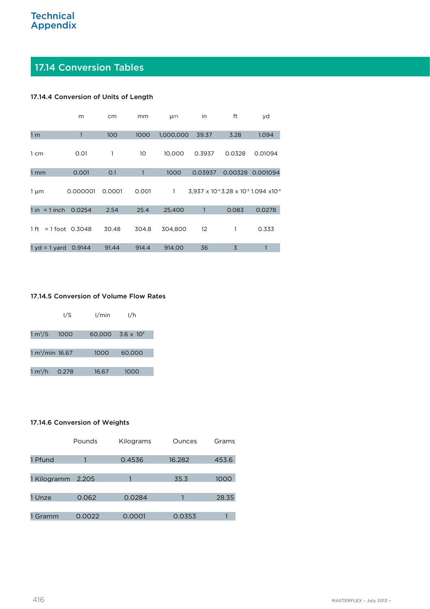# 17.14 Conversion Tables

#### 17.14.4 Conversion of Units of Length

|                      | m                 | cm     | mm    | $\mu$ m   | in      | ft      | yd                                                                     |
|----------------------|-------------------|--------|-------|-----------|---------|---------|------------------------------------------------------------------------|
| 1 <sub>m</sub>       | 1                 | 100    | 1000  | 1,000,000 | 39.37   | 3.28    | 1.094                                                                  |
| 1 cm                 | 0.01              | 1      | 10    | 10,000    | 0.3937  | 0.0328  | 0.01094                                                                |
| 1 <sub>mm</sub>      | 0.001             | O.1    |       | 1000      | 0.03937 | 0.00328 | 0.001094                                                               |
| $1 \mu m$            | 0.000001          | 0.0001 | 0.001 | 1         |         |         | $3,937 \times 10^{-6}$ 3.28 x 10 <sup>-6</sup> 1.094 x10 <sup>-6</sup> |
| $= 1$ inch<br>$1$ in | 0.0254            | 2.54   | 25.4  | 25,400    |         | 0.083   | 0.0278                                                                 |
| 1 ft                 | $= 1$ foot 0.3048 | 30.48  | 304.8 | 304.800   | 12      | 1       | 0.333                                                                  |
| $1 yd = 1 yard$      | 0.9144            | 91.44  | 914.4 | 914,00    | 36      | 3       |                                                                        |

#### 17.14.5 Conversion of Volume Flow Rates

|                     | 1/S   | 1/min  | 1/h                 |
|---------------------|-------|--------|---------------------|
| 1 m <sup>3</sup> /S | 1000  | 60,000 | $3.6 \times 10^{6}$ |
|                     |       |        |                     |
| $1 m3/min$ 16.67    |       | 1000   | 60,000              |
|                     |       |        |                     |
| 1 m $\rm{^3/h}$     | 0.278 | 16.67  | 1000                |

#### 17.14.6 Conversion of Weights

|                   | Pounds | Kilograms | Ounces | Grams |
|-------------------|--------|-----------|--------|-------|
| 1 Pfund           |        | 0.4536    | 16.282 | 453.6 |
| 1 Kilogramm 2.205 |        |           | 35.3   | 1000  |
| 1 Unze            | 0.062  | 0.0284    |        | 28.35 |
| 1 Gramm           | 0.0022 | 0.0001    | 0.0353 |       |